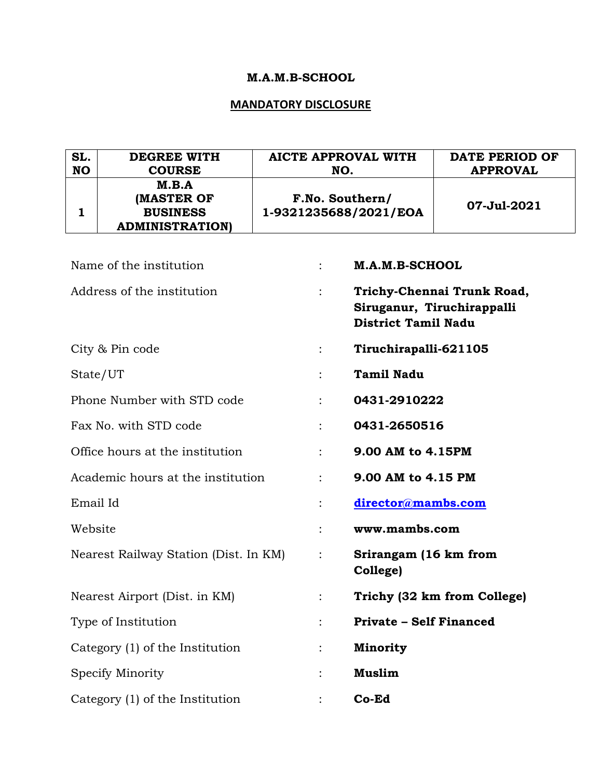# **M.A.M.B-SCHOOL**

## **MANDATORY DISCLOSURE**

| SL.<br><b>NO</b> | <b>DEGREE WITH</b><br><b>COURSE</b>                              | <b>AICTE APPROVAL WITH</b><br>NO.        |                                   | <b>DATE PERIOD OF</b><br><b>APPROVAL</b>                 |  |  |
|------------------|------------------------------------------------------------------|------------------------------------------|-----------------------------------|----------------------------------------------------------|--|--|
| 1                | M.B.A<br>(MASTER OF<br><b>BUSINESS</b><br><b>ADMINISTRATION)</b> | F.No. Southern/<br>1-9321235688/2021/EOA |                                   | 07-Jul-2021                                              |  |  |
|                  | Name of the institution                                          | $\ddot{\cdot}$                           | M.A.M.B-SCHOOL                    |                                                          |  |  |
|                  | Address of the institution                                       |                                          | <b>District Tamil Nadu</b>        | Trichy-Chennai Trunk Road,<br>Siruganur, Tiruchirappalli |  |  |
|                  | City & Pin code                                                  |                                          | Tiruchirapalli-621105             |                                                          |  |  |
|                  | State/UT                                                         |                                          | <b>Tamil Nadu</b>                 |                                                          |  |  |
|                  | Phone Number with STD code                                       |                                          | 0431-2910222                      |                                                          |  |  |
|                  | Fax No. with STD code                                            |                                          | 0431-2650516                      |                                                          |  |  |
|                  | Office hours at the institution                                  |                                          | 9.00 AM to 4.15PM                 |                                                          |  |  |
|                  | Academic hours at the institution                                | $\ddot{\phantom{0}}$                     | 9.00 AM to 4.15 PM                |                                                          |  |  |
| Email Id         |                                                                  |                                          | director@mambs.com                |                                                          |  |  |
| Website          |                                                                  | $\ddot{\cdot}$                           | www.mambs.com                     |                                                          |  |  |
|                  | Nearest Railway Station (Dist. In KM)                            | $\ddot{\cdot}$                           | Srirangam (16 km from<br>College) |                                                          |  |  |
|                  | Nearest Airport (Dist. in KM)                                    |                                          | Trichy (32 km from College)       |                                                          |  |  |
|                  | Type of Institution                                              |                                          | <b>Private - Self Financed</b>    |                                                          |  |  |
|                  | Category (1) of the Institution                                  |                                          | <b>Minority</b>                   |                                                          |  |  |
|                  | Specify Minority                                                 |                                          | <b>Muslim</b>                     |                                                          |  |  |
|                  | Category (1) of the Institution                                  |                                          | Co-Ed                             |                                                          |  |  |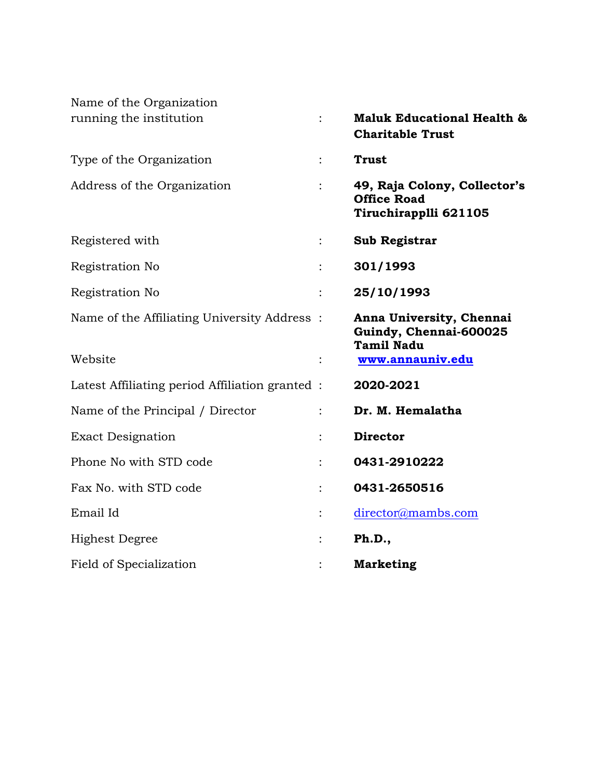| Name of the Organization                       |                      |                                                                             |
|------------------------------------------------|----------------------|-----------------------------------------------------------------------------|
| running the institution                        |                      | <b>Maluk Educational Health &amp;</b><br><b>Charitable Trust</b>            |
| Type of the Organization                       | $\ddot{\phantom{a}}$ | <b>Trust</b>                                                                |
| Address of the Organization                    |                      | 49, Raja Colony, Collector's<br><b>Office Road</b><br>Tiruchirapplli 621105 |
| Registered with                                |                      | <b>Sub Registrar</b>                                                        |
| Registration No                                |                      | 301/1993                                                                    |
| Registration No                                |                      | 25/10/1993                                                                  |
| Name of the Affiliating University Address:    |                      | Anna University, Chennai<br>Guindy, Chennai-600025<br><b>Tamil Nadu</b>     |
| Website                                        | $\ddot{\cdot}$       | www.annauniv.edu                                                            |
| Latest Affiliating period Affiliation granted: |                      | 2020-2021                                                                   |
| Name of the Principal / Director               |                      | Dr. M. Hemalatha                                                            |
| <b>Exact Designation</b>                       |                      | <b>Director</b>                                                             |
| Phone No with STD code                         |                      | 0431-2910222                                                                |
| Fax No. with STD code                          |                      | 0431-2650516                                                                |
| Email Id                                       |                      | director@mambs.com                                                          |
| <b>Highest Degree</b>                          |                      | Ph.D.,                                                                      |
| Field of Specialization                        |                      | <b>Marketing</b>                                                            |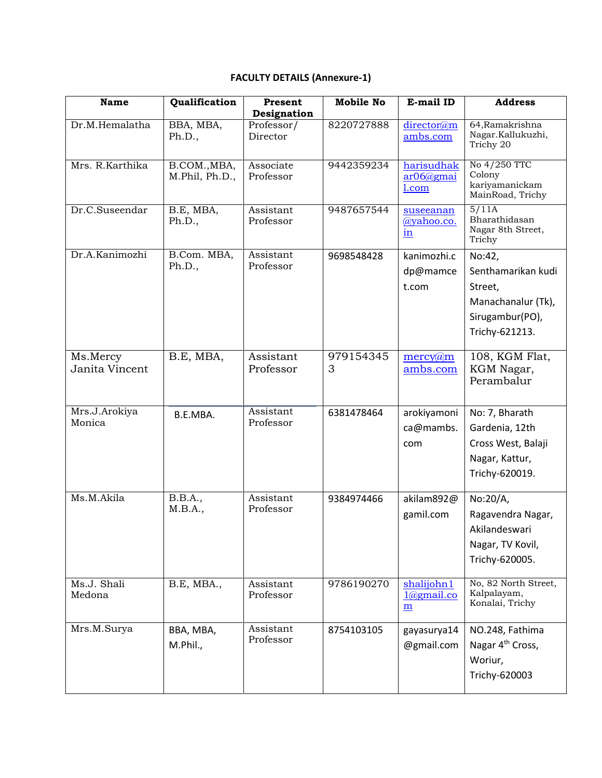# **FACULTY DETAILS (Annexure-1)**

| <b>Name</b>                | Qualification                  | Present<br>Designation | <b>Mobile No</b> | E-mail ID                                      | <b>Address</b>                                                                                     |
|----------------------------|--------------------------------|------------------------|------------------|------------------------------------------------|----------------------------------------------------------------------------------------------------|
| Dr.M.Hemalatha             | BBA, MBA,<br>Ph.D.,            | Professor/<br>Director | 8220727888       | director@m<br>ambs.com                         | 64, Ramakrishna<br>Nagar.Kallukuzhi,<br>Trichy 20                                                  |
| Mrs. R.Karthika            | B.COM., MBA,<br>M.Phil, Ph.D., | Associate<br>Professor | 9442359234       | harisudhak<br>$ar06$ @gmai<br>$1$ .com         | No 4/250 TTC<br>Colony<br>kariyamanickam<br>MainRoad, Trichy                                       |
| Dr.C.Suseendar             | B.E, MBA,<br>Ph.D.,            | Assistant<br>Professor | 9487657544       | suseeanan<br>@yahoo.co.<br>$\mathbf{in}$       | 5/11A<br>Bharathidasan<br>Nagar 8th Street,<br>Trichy                                              |
| Dr.A.Kanimozhi             | B.Com. MBA,<br>Ph.D.,          | Assistant<br>Professor | 9698548428       | kanimozhi.c<br>dp@mamce<br>t.com               | No:42,<br>Senthamarikan kudi<br>Street,<br>Manachanalur (Tk),<br>Sirugambur(PO),<br>Trichy-621213. |
| Ms.Mercy<br>Janita Vincent | B.E, MBA,                      | Assistant<br>Professor | 979154345<br>3   | $\text{mercy}(a)$ m<br>ambs.com                | 108, KGM Flat,<br>KGM Nagar,<br>Perambalur                                                         |
| Mrs.J.Arokiya<br>Monica    | B.E.MBA.                       | Assistant<br>Professor | 6381478464       | arokiyamoni<br>ca@mambs.<br>com                | No: 7, Bharath<br>Gardenia, 12th<br>Cross West, Balaji<br>Nagar, Kattur,<br>Trichy-620019.         |
| Ms.M.Akila                 | <b>B.B.A.,</b><br>M.B.A.,      | Assistant<br>Professor | 9384974466       | akilam892@<br>gamil.com                        | No:20/A,<br>Ragavendra Nagar,<br>Akilandeswari<br>Nagar, TV Kovil,<br>Trichy-620005.               |
| Ms.J. Shali<br>Medona      | B.E, MBA.,                     | Assistant<br>Professor | 9786190270       | shalijohn1<br>$1$ @gmail.co<br>$\underline{m}$ | No, 82 North Street,<br>Kalpalayam,<br>Konalai, Trichy                                             |
| Mrs.M.Surya                | BBA, MBA,<br>M.Phil.,          | Assistant<br>Professor | 8754103105       | gayasurya14<br>@gmail.com                      | NO.248, Fathima<br>Nagar 4 <sup>th</sup> Cross,<br>Woriur,<br>Trichy-620003                        |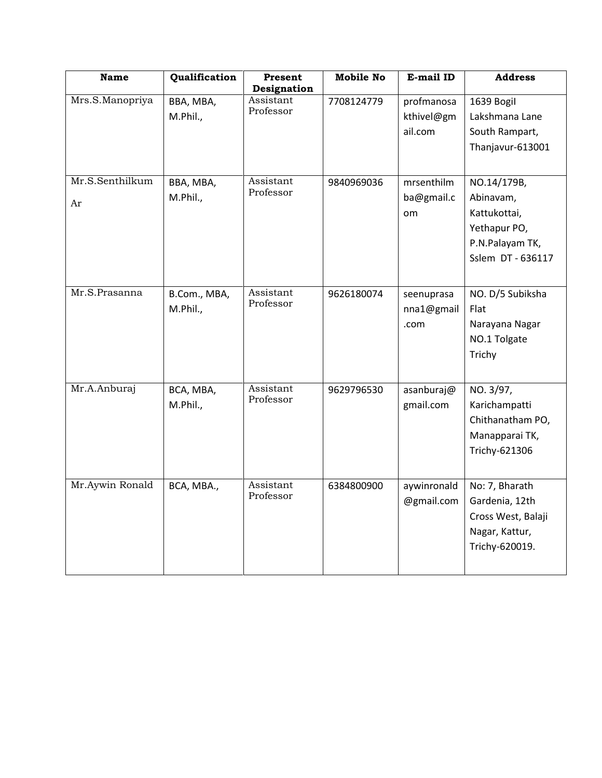| <b>Name</b>           | Qualification            | Present<br>Designation | <b>Mobile No</b> | E-mail ID                           | <b>Address</b>                                                                                   |
|-----------------------|--------------------------|------------------------|------------------|-------------------------------------|--------------------------------------------------------------------------------------------------|
| Mrs.S.Manopriya       | BBA, MBA,<br>M.Phil.,    | Assistant<br>Professor | 7708124779       | profmanosa<br>kthivel@gm<br>ail.com | 1639 Bogil<br>Lakshmana Lane<br>South Rampart,<br>Thanjavur-613001                               |
| Mr.S.Senthilkum<br>Ar | BBA, MBA,<br>M.Phil.,    | Assistant<br>Professor | 9840969036       | mrsenthilm<br>ba@gmail.c<br>om      | NO.14/179B,<br>Abinavam,<br>Kattukottai,<br>Yethapur PO,<br>P.N.Palayam TK,<br>Sslem DT - 636117 |
| Mr.S.Prasanna         | B.Com., MBA,<br>M.Phil., | Assistant<br>Professor | 9626180074       | seenuprasa<br>nna1@gmail<br>.com    | NO. D/5 Subiksha<br>Flat<br>Narayana Nagar<br>NO.1 Tolgate<br>Trichy                             |
| Mr.A.Anburaj          | BCA, MBA,<br>M.Phil.,    | Assistant<br>Professor | 9629796530       | asanburaj@<br>gmail.com             | NO. 3/97,<br>Karichampatti<br>Chithanatham PO,<br>Manapparai TK,<br>Trichy-621306                |
| Mr.Aywin Ronald       | BCA, MBA.,               | Assistant<br>Professor | 6384800900       | aywinronald<br>@gmail.com           | No: 7, Bharath<br>Gardenia, 12th<br>Cross West, Balaji<br>Nagar, Kattur,<br>Trichy-620019.       |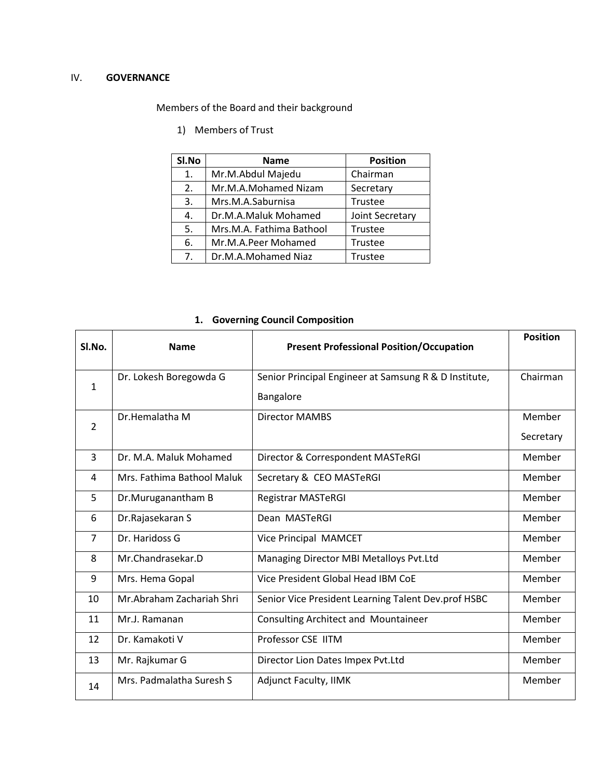## IV. **GOVERNANCE**

Members of the Board and their background

1) Members of Trust

| SI.No | <b>Name</b>              | <b>Position</b> |
|-------|--------------------------|-----------------|
| 1.    | Mr.M.Abdul Majedu        | Chairman        |
| 2.    | Mr.M.A.Mohamed Nizam     | Secretary       |
| 3.    | Mrs.M.A.Saburnisa        | Trustee         |
| 4.    | Dr.M.A.Maluk Mohamed     | Joint Secretary |
| 5.    | Mrs.M.A. Fathima Bathool | Trustee         |
| 6.    | Mr.M.A.Peer Mohamed      | Trustee         |
| 7.    | Dr.M.A.Mohamed Niaz      | Trustee         |

## **1. Governing Council Composition**

| Sl.No.         | <b>Name</b>                | <b>Present Professional Position/Occupation</b>                    | <b>Position</b>     |
|----------------|----------------------------|--------------------------------------------------------------------|---------------------|
| 1              | Dr. Lokesh Boregowda G     | Senior Principal Engineer at Samsung R & D Institute,<br>Bangalore | Chairman            |
| $\overline{2}$ | Dr.Hemalatha M             | <b>Director MAMBS</b>                                              | Member<br>Secretary |
| 3              | Dr. M.A. Maluk Mohamed     | Director & Correspondent MASTeRGI                                  | Member              |
| 4              | Mrs. Fathima Bathool Maluk | Secretary & CEO MASTeRGI                                           | Member              |
| 5              | Dr.Muruganantham B         | <b>Registrar MASTeRGI</b>                                          | Member              |
| 6              | Dr.Rajasekaran S           | Dean MASTeRGI                                                      | Member              |
| $\overline{7}$ | Dr. Haridoss G             | Vice Principal MAMCET                                              | Member              |
| 8              | Mr.Chandrasekar.D          | Managing Director MBI Metalloys Pvt.Ltd                            | Member              |
| 9              | Mrs. Hema Gopal            | Vice President Global Head IBM CoE                                 | Member              |
| 10             | Mr.Abraham Zachariah Shri  | Senior Vice President Learning Talent Dev.prof HSBC                | Member              |
| 11             | Mr.J. Ramanan              | Consulting Architect and Mountaineer                               | Member              |
| 12             | Dr. Kamakoti V             | Professor CSE IITM                                                 | Member              |
| 13             | Mr. Rajkumar G             | Director Lion Dates Impex Pvt.Ltd                                  | Member              |
| 14             | Mrs. Padmalatha Suresh S   | <b>Adjunct Faculty, IIMK</b>                                       | Member              |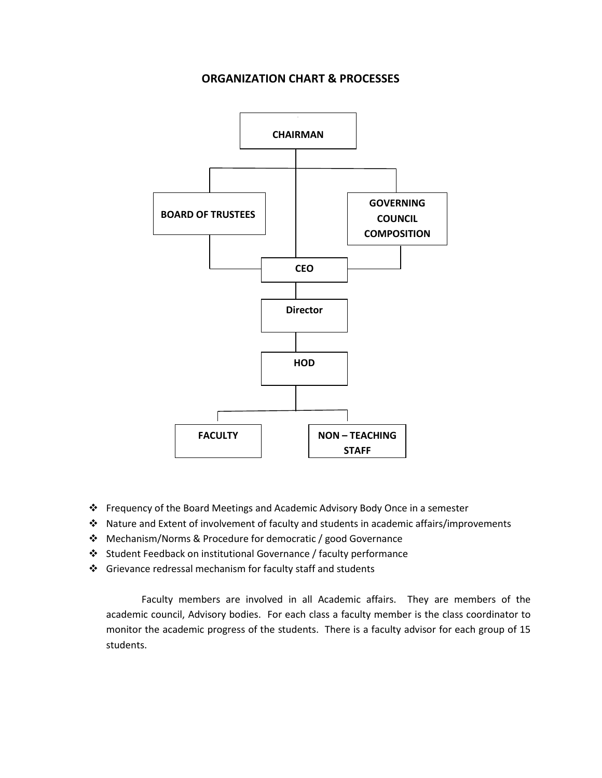## **ORGANIZATION CHART & PROCESSES**



- ❖ Frequency of the Board Meetings and Academic Advisory Body Once in a semester
- ❖ Nature and Extent of involvement of faculty and students in academic affairs/improvements
- ❖ Mechanism/Norms & Procedure for democratic / good Governance
- ❖ Student Feedback on institutional Governance / faculty performance
- ❖ Grievance redressal mechanism for faculty staff and students

Faculty members are involved in all Academic affairs. They are members of the academic council, Advisory bodies. For each class a faculty member is the class coordinator to monitor the academic progress of the students. There is a faculty advisor for each group of 15 students.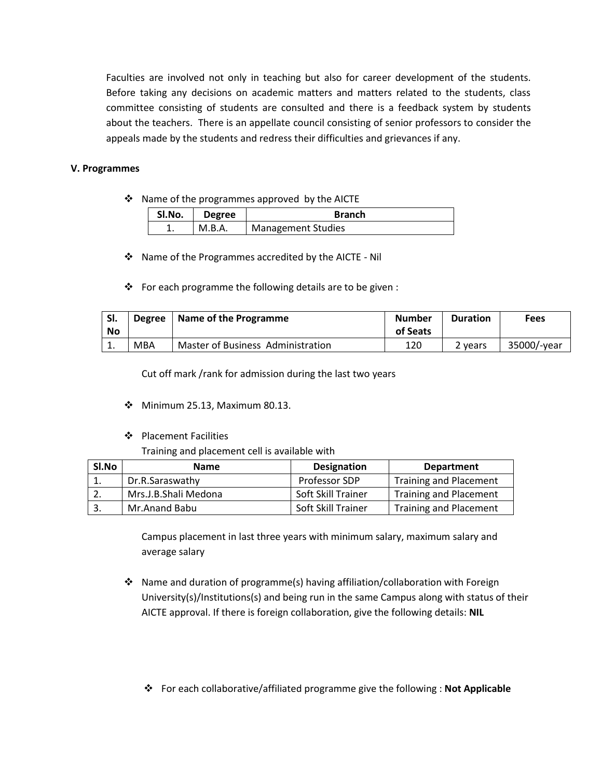Faculties are involved not only in teaching but also for career development of the students. Before taking any decisions on academic matters and matters related to the students, class committee consisting of students are consulted and there is a feedback system by students about the teachers. There is an appellate council consisting of senior professors to consider the appeals made by the students and redress their difficulties and grievances if any.

#### **V. Programmes**

❖ Name of the programmes approved by the AICTE

| SI.No. | <b>Degree</b> | <b>Branch</b>             |
|--------|---------------|---------------------------|
|        | M.B.A.        | <b>Management Studies</b> |

❖ Name of the Programmes accredited by the AICTE - Nil

❖ For each programme the following details are to be given :

|    | SI.<br>No | <b>Degree</b> | Name of the Programme             | <b>Number</b><br>of Seats | <b>Duration</b> | <b>Fees</b> |
|----|-----------|---------------|-----------------------------------|---------------------------|-----------------|-------------|
| ⊥. |           | MBA           | Master of Business Administration | 120                       | 2 vears         | 35000/-year |

Cut off mark /rank for admission during the last two years

- ❖ Minimum 25.13, Maximum 80.13.
- ❖ Placement Facilities

Training and placement cell is available with

| SI.No | <b>Name</b>          | <b>Designation</b> | <b>Department</b>             |
|-------|----------------------|--------------------|-------------------------------|
|       | Dr.R.Saraswathy      | Professor SDP      | <b>Training and Placement</b> |
|       | Mrs.J.B.Shali Medona | Soft Skill Trainer | <b>Training and Placement</b> |
| -3.   | Mr.Anand Babu        | Soft Skill Trainer | <b>Training and Placement</b> |

Campus placement in last three years with minimum salary, maximum salary and average salary

❖ Name and duration of programme(s) having affiliation/collaboration with Foreign University(s)/Institutions(s) and being run in the same Campus along with status of their AICTE approval. If there is foreign collaboration, give the following details: **NIL**

❖ For each collaborative/affiliated programme give the following : **Not Applicable**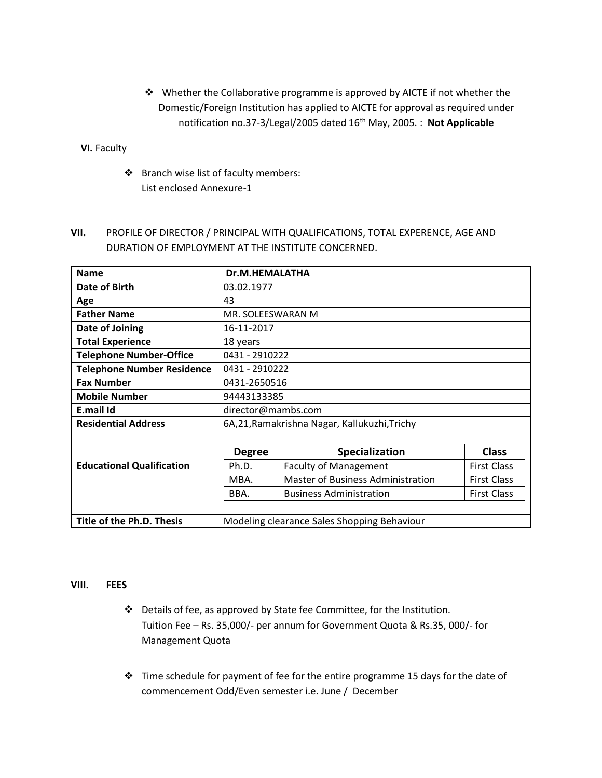❖ Whether the Collaborative programme is approved by AICTE if not whether the Domestic/Foreign Institution has applied to AICTE for approval as required under notification no.37-3/Legal/2005 dated 16<sup>th</sup> May, 2005. : Not Applicable

 **VI.** Faculty

- ❖ Branch wise list of faculty members: List enclosed Annexure-1
- **VII.** PROFILE OF DIRECTOR / PRINCIPAL WITH QUALIFICATIONS, TOTAL EXPERENCE, AGE AND DURATION OF EMPLOYMENT AT THE INSTITUTE CONCERNED.

| <b>Name</b>                       | Dr.M.HEMALATHA     |                                              |                    |  |  |
|-----------------------------------|--------------------|----------------------------------------------|--------------------|--|--|
| Date of Birth                     | 03.02.1977         |                                              |                    |  |  |
| Age                               | 43                 |                                              |                    |  |  |
| <b>Father Name</b>                | MR. SOLEESWARAN M  |                                              |                    |  |  |
| Date of Joining                   | 16-11-2017         |                                              |                    |  |  |
| <b>Total Experience</b>           | 18 years           |                                              |                    |  |  |
| <b>Telephone Number-Office</b>    | 0431 - 2910222     |                                              |                    |  |  |
| <b>Telephone Number Residence</b> | 0431 - 2910222     |                                              |                    |  |  |
| <b>Fax Number</b>                 | 0431-2650516       |                                              |                    |  |  |
| <b>Mobile Number</b>              | 94443133385        |                                              |                    |  |  |
| E.mail Id                         | director@mambs.com |                                              |                    |  |  |
| <b>Residential Address</b>        |                    | 6A,21, Ramakrishna Nagar, Kallukuzhi, Trichy |                    |  |  |
|                                   |                    |                                              |                    |  |  |
|                                   | <b>Degree</b>      | Specialization                               | <b>Class</b>       |  |  |
| <b>Educational Qualification</b>  | Ph.D.              | <b>Faculty of Management</b>                 | <b>First Class</b> |  |  |
|                                   | MBA.               | <b>Master of Business Administration</b>     | <b>First Class</b> |  |  |
|                                   | BBA.               | <b>Business Administration</b>               | <b>First Class</b> |  |  |
|                                   |                    |                                              |                    |  |  |
| Title of the Ph.D. Thesis         |                    | Modeling clearance Sales Shopping Behaviour  |                    |  |  |

### **VIII. FEES**

- ❖ Details of fee, as approved by State fee Committee, for the Institution. Tuition Fee – Rs. 35,000/- per annum for Government Quota & Rs.35, 000/- for Management Quota
- ❖ Time schedule for payment of fee for the entire programme 15 days for the date of commencement Odd/Even semester i.e. June / December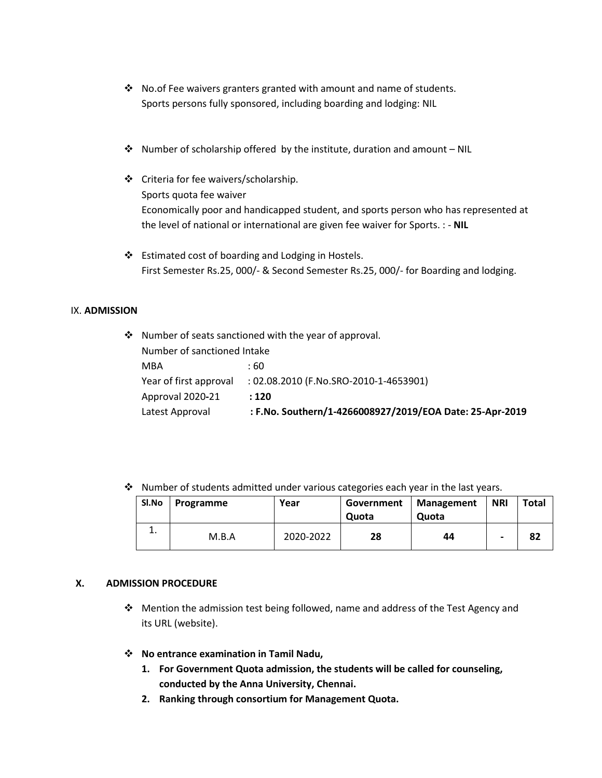- ❖ No.of Fee waivers granters granted with amount and name of students. Sports persons fully sponsored, including boarding and lodging: NIL
- ❖ Number of scholarship offered by the institute, duration and amount NIL
- ❖ Criteria for fee waivers/scholarship. Sports quota fee waiver Economically poor and handicapped student, and sports person who has represented at the level of national or international are given fee waiver for Sports. : - **NIL**
- ❖ Estimated cost of boarding and Lodging in Hostels. First Semester Rs.25, 000/- & Second Semester Rs.25, 000/- for Boarding and lodging.

#### IX. **ADMISSION**

| $\cdot$ Number of seats sanctioned with the year of approval. |                        |                                                          |  |  |  |  |
|---------------------------------------------------------------|------------------------|----------------------------------------------------------|--|--|--|--|
| Number of sanctioned Intake                                   |                        |                                                          |  |  |  |  |
|                                                               | MBA                    | : 60                                                     |  |  |  |  |
|                                                               | Year of first approval | : 02.08.2010 (F.No.SRO-2010-1-4653901)                   |  |  |  |  |
|                                                               | Approval 2020-21       | : 120                                                    |  |  |  |  |
|                                                               | Latest Approval        | : F.No. Southern/1-4266008927/2019/EOA Date: 25-Apr-2019 |  |  |  |  |

❖ Number of students admitted under various categories each year in the last years.

| Sl.No | Programme | Year      | Government   Management<br>Quota | Quota | <b>NRI</b>               | <b>Total</b> |
|-------|-----------|-----------|----------------------------------|-------|--------------------------|--------------|
| . .   | M.B.A     | 2020-2022 | 28                               | 44    | $\overline{\phantom{0}}$ | 82           |

### **X. ADMISSION PROCEDURE**

- ❖ Mention the admission test being followed, name and address of the Test Agency and its URL (website).
- ❖ **No entrance examination in Tamil Nadu,**
	- **1. For Government Quota admission, the students will be called for counseling, conducted by the Anna University, Chennai.**
	- **2. Ranking through consortium for Management Quota.**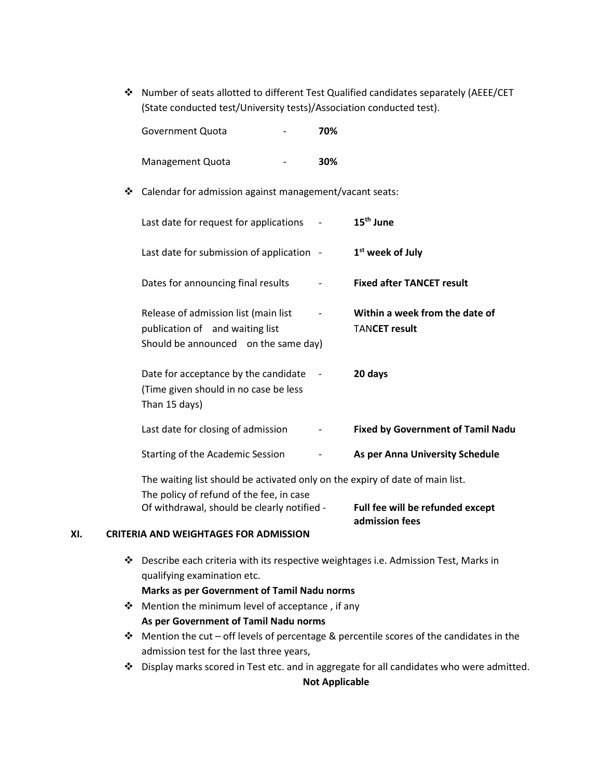❖ Number of seats allotted to different Test Qualified candidates separately (AEEE/CET (State conducted test/University tests)/Association conducted test).

| Government Quota | 70% |
|------------------|-----|
|------------------|-----|

- Management Quota **30%**
- ❖ Calendar for admission against management/vacant seats:

| Last date for request for applications                                                                                    | 15 <sup>th</sup> June                                  |
|---------------------------------------------------------------------------------------------------------------------------|--------------------------------------------------------|
| Last date for submission of application -                                                                                 | 1 <sup>st</sup> week of July                           |
| Dates for announcing final results                                                                                        | <b>Fixed after TANCET result</b>                       |
| Release of admission list (main list<br>publication of and waiting list<br>Should be announced on the same day)           | Within a week from the date of<br><b>TANCET result</b> |
| Date for acceptance by the candidate<br>$\sim$<br>(Time given should in no case be less<br>Than 15 days)                  | 20 days                                                |
| Last date for closing of admission                                                                                        | <b>Fixed by Government of Tamil Nadu</b>               |
| Starting of the Academic Session                                                                                          | As per Anna University Schedule                        |
| The waiting list should be activated only on the expiry of date of main list.<br>The policy of refund of the fee, in case |                                                        |

Of withdrawal, should be clearly notified - **Full fee will be refunded except**

**admission fees**

## **XI. CRITERIA AND WEIGHTAGES FOR ADMISSION**

❖ Describe each criteria with its respective weightages i.e. Admission Test, Marks in qualifying examination etc.

#### **Marks as per Government of Tamil Nadu norms**

- ❖ Mention the minimum level of acceptance , if any **As per Government of Tamil Nadu norms**
- ❖ Mention the cut off levels of percentage & percentile scores of the candidates in the admission test for the last three years,
- ❖ Display marks scored in Test etc. and in aggregate for all candidates who were admitted. **Not Applicable**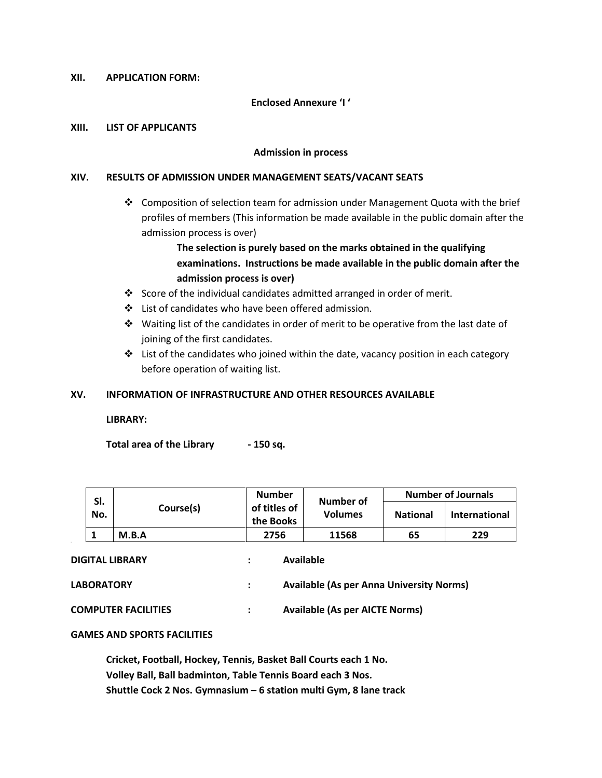#### **XII. APPLICATION FORM:**

#### **Enclosed Annexure 'I '**

#### **XIII. LIST OF APPLICANTS**

#### **Admission in process**

#### **XIV. RESULTS OF ADMISSION UNDER MANAGEMENT SEATS/VACANT SEATS**

❖ Composition of selection team for admission under Management Quota with the brief profiles of members (This information be made available in the public domain after the admission process is over)

> **The selection is purely based on the marks obtained in the qualifying examinations. Instructions be made available in the public domain after the admission process is over)**

- ❖ Score of the individual candidates admitted arranged in order of merit.
- ❖ List of candidates who have been offered admission.
- ❖ Waiting list of the candidates in order of merit to be operative from the last date of joining of the first candidates.
- ❖ List of the candidates who joined within the date, vacancy position in each category before operation of waiting list.

#### **XV. INFORMATION OF INFRASTRUCTURE AND OTHER RESOURCES AVAILABLE**

#### **LIBRARY:**

**Total area of the Library - 150 sq.**

|            |           | <b>Number</b><br>of titles of<br>the Books | Number of<br><b>Volumes</b> | <b>Number of Journals</b> |                      |
|------------|-----------|--------------------------------------------|-----------------------------|---------------------------|----------------------|
| SI.<br>No. | Course(s) |                                            |                             | <b>National</b>           | <b>International</b> |
|            | M.B.A     | 2756                                       | 11568                       | 65                        | 229                  |
|            |           |                                            |                             |                           |                      |

**DIGITAL LIBRARY : Available**

| <b>Available (As per Anna University Norms)</b> |
|-------------------------------------------------|
|                                                 |

**COMPUTER FACILITIES : Available (As per AICTE Norms)**

#### **GAMES AND SPORTS FACILITIES**

**Cricket, Football, Hockey, Tennis, Basket Ball Courts each 1 No. Volley Ball, Ball badminton, Table Tennis Board each 3 Nos. Shuttle Cock 2 Nos. Gymnasium – 6 station multi Gym, 8 lane track**